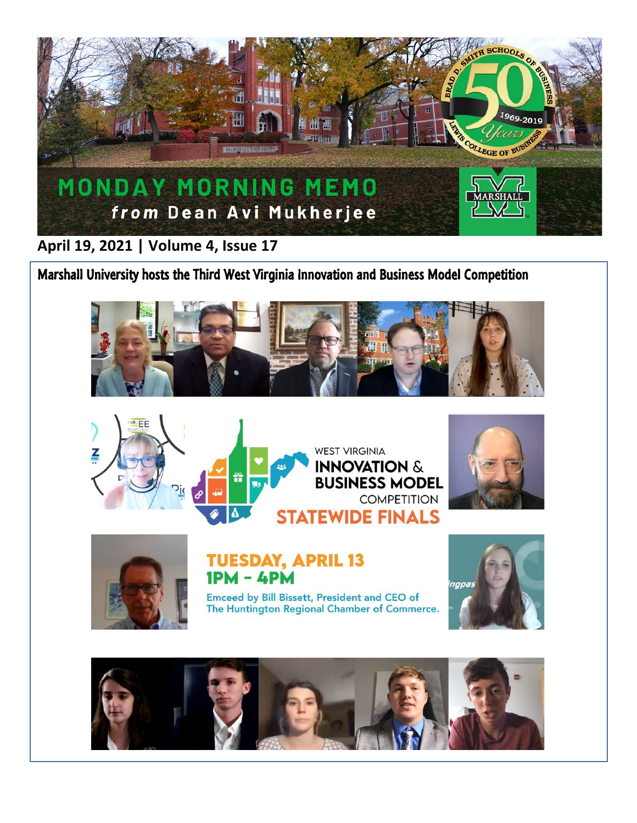

**April 19, 2021 | Volume 4, Issue 17**

Marshall University hosts the Third West Virginia Innovation and Business Model Competition









**TUESDAY, APRIL 13**  $1PM - 4PM$ 

Emceed by Bill Bissett, President and CEO of The Huntington Regional Chamber of Commerce.



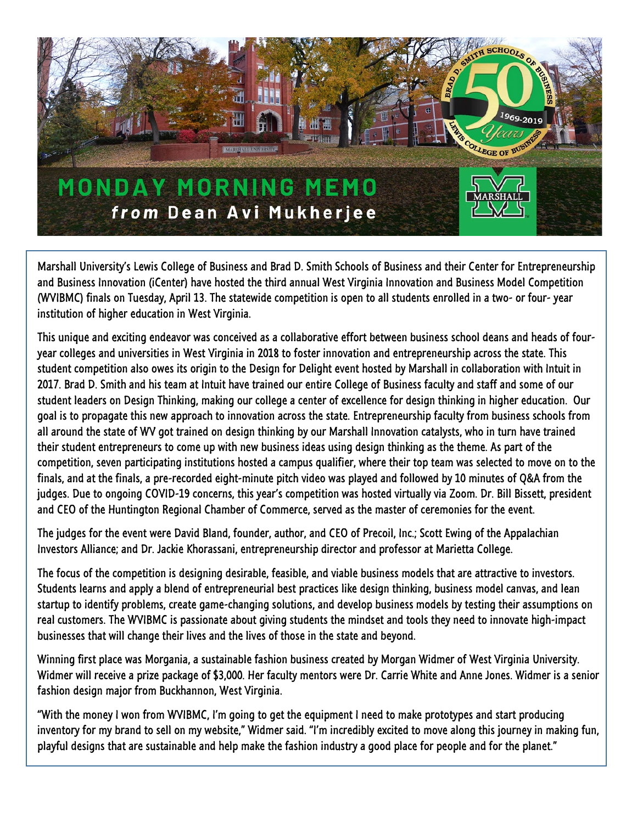

Marshall University's Lewis College of Business and Brad D. Smith Schools of Business and their Center for Entrepreneurship and Business Innovation (iCenter) have hosted the third annual West Virginia Innovation and Business Model Competition (WVIBMC) finals on Tuesday, April 13. The statewide competition is open to all students enrolled in a two- or four- year institution of higher education in West Virginia.

This unique and exciting endeavor was conceived as a collaborative effort between business school deans and heads of fouryear colleges and universities in West Virginia in 2018 to foster innovation and entrepreneurship across the state. This student competition also owes its origin to the Design for Delight event hosted by Marshall in collaboration with Intuit in 2017. Brad D. Smith and his team at Intuit have trained our entire College of Business faculty and staff and some of our student leaders on Design Thinking, making our college a center of excellence for design thinking in higher education. Our goal is to propagate this new approach to innovation across the state. Entrepreneurship faculty from business schools from all around the state of WV got trained on design thinking by our Marshall Innovation catalysts, who in turn have trained their student entrepreneurs to come up with new business ideas using design thinking as the theme. As part of the competition, seven participating institutions hosted a campus qualifier, where their top team was selected to move on to the finals, and at the finals, a pre-recorded eight-minute pitch video was played and followed by 10 minutes of Q&A from the judges. Due to ongoing COVID-19 concerns, this year's competition was hosted virtually via Zoom. Dr. Bill Bissett, president and CEO of the Huntington Regional Chamber of Commerce, served as the master of ceremonies for the event.

The judges for the event were David Bland, founder, author, and CEO of Precoil, Inc.; Scott Ewing of the Appalachian Investors Alliance; and Dr. Jackie Khorassani, entrepreneurship director and professor at Marietta College.

The focus of the competition is designing desirable, feasible, and viable business models that are attractive to investors. Students learns and apply a blend of entrepreneurial best practices like design thinking, business model canvas, and lean startup to identify problems, create game-changing solutions, and develop business models by testing their assumptions on real customers. The WVIBMC is passionate about giving students the mindset and tools they need to innovate high-impact businesses that will change their lives and the lives of those in the state and beyond.

Winning first place was Morgania, a sustainable fashion business created by Morgan Widmer of West Virginia University. Widmer will receive a prize package of \$3,000. Her faculty mentors were Dr. Carrie White and Anne Jones. Widmer is a senior fashion design major from Buckhannon, West Virginia.

"With the money I won from WVIBMC, I'm going to get the equipment I need to make prototypes and start producing inventory for my brand to sell on my website," Widmer said. "I'm incredibly excited to move along this journey in making fun, playful designs that are sustainable and help make the fashion industry a good place for people and for the planet."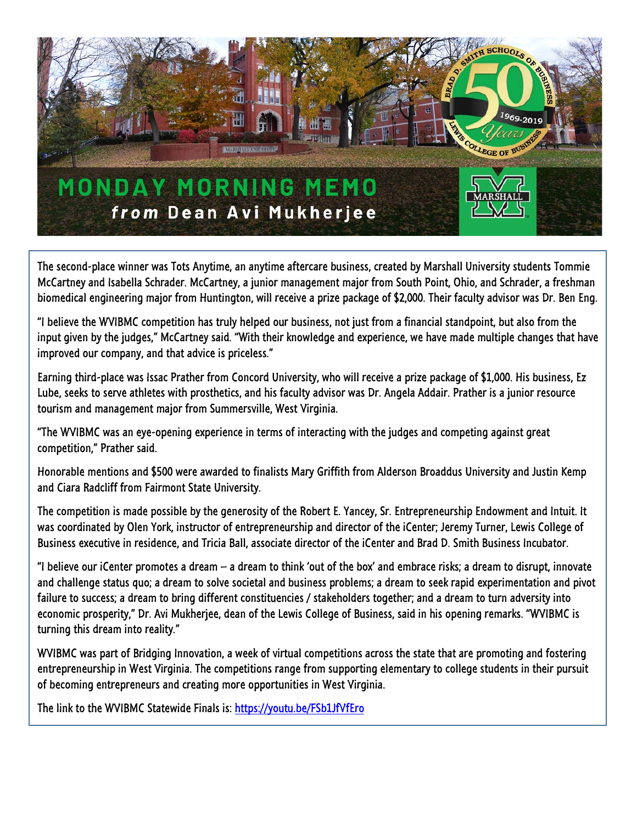

The second-place winner was Tots Anytime, an anytime aftercare business, created by Marshall University students Tommie McCartney and Isabella Schrader. McCartney, a junior management major from South Point, Ohio, and Schrader, a freshman biomedical engineering major from Huntington, will receive a prize package of \$2,000. Their faculty advisor was Dr. Ben Eng.

"I believe the WVIBMC competition has truly helped our business, not just from a financial standpoint, but also from the input given by the judges," McCartney said. "With their knowledge and experience, we have made multiple changes that have improved our company, and that advice is priceless."

Earning third-place was Issac Prather from Concord University, who will receive a prize package of \$1,000. His business, Ez Lube, seeks to serve athletes with prosthetics, and his faculty advisor was Dr. Angela Addair. Prather is a junior resource tourism and management major from Summersville, West Virginia.

"The WVIBMC was an eye-opening experience in terms of interacting with the judges and competing against great competition," Prather said.

Honorable mentions and \$500 were awarded to finalists Mary Griffith from Alderson Broaddus University and Justin Kemp and Ciara Radcliff from Fairmont State University.

The competition is made possible by the generosity of the Robert E. Yancey, Sr. Entrepreneurship Endowment and Intuit. It was coordinated by Olen York, instructor of entrepreneurship and director of the iCenter; Jeremy Turner, Lewis College of Business executive in residence, and Tricia Ball, associate director of the iCenter and Brad D. Smith Business Incubator.

"I believe our iCenter promotes a dream  $-$  a dream to think 'out of the box' and embrace risks; a dream to disrupt, innovate and challenge status quo; a dream to solve societal and business problems; a dream to seek rapid experimentation and pivot failure to success; a dream to bring different constituencies / stakeholders together; and a dream to turn adversity into economic prosperity," Dr. Avi Mukherjee, dean of the Lewis College of Business, said in his opening remarks. "WVIBMC is turning this dream into reality."

WVIBMC was part of Bridging Innovation, a week of virtual competitions across the state that are promoting and fostering entrepreneurship in West Virginia. The competitions range from supporting elementary to college students in their pursuit of becoming entrepreneurs and creating more opportunities in West Virginia.

The link to the WVIBMC Statewide Finals is[: https://youtu.be/FSb1JfVfEro](https://youtu.be/FSb1JfVfEro)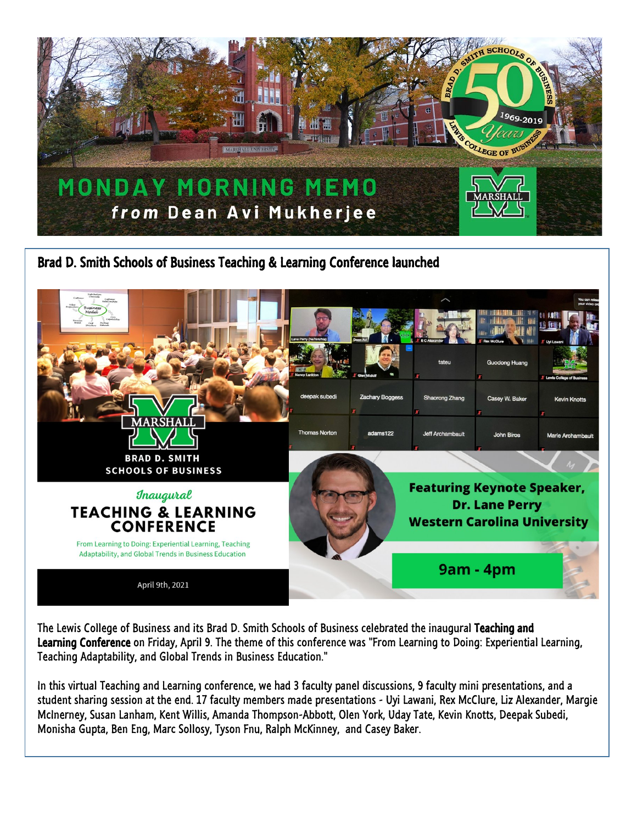

Brad D. Smith Schools of Business Teaching & Learning Conference launched



The Lewis College of Business and its Brad D. Smith Schools of Business celebrated the inaugural Teaching and Learning Conference on Friday, April 9. The theme of this conference was "From Learning to Doing: Experiential Learning, Teaching Adaptability, and Global Trends in Business Education."

In this virtual Teaching and Learning conference, we had 3 faculty panel discussions, 9 faculty mini presentations, and a student sharing session at the end. 17 faculty members made presentations - Uyi Lawani, Rex McClure, Liz Alexander, Margie McInerney, Susan Lanham, Kent Willis, Amanda Thompson-Abbott, Olen York, Uday Tate, Kevin Knotts, Deepak Subedi, Monisha Gupta, Ben Eng, Marc Sollosy, Tyson Fnu, Ralph McKinney, and Casey Baker.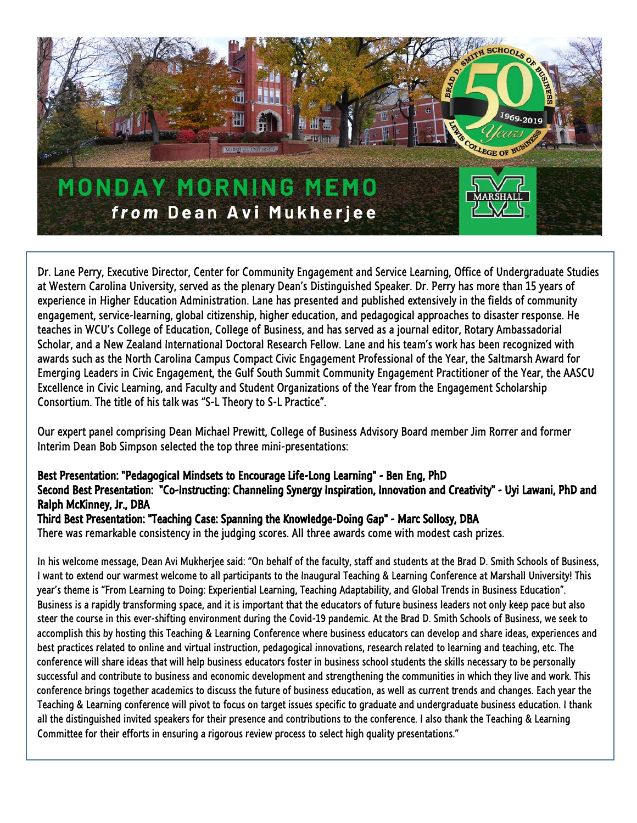

Dr. Lane Perry, Executive Director, Center for Community Engagement and Service Learning, Office of Undergraduate Studies at Western Carolina University, served as the plenary Dean's Distinguished Speaker. Dr. Perry has more than 15 years of experience in Higher Education Administration. Lane has presented and published extensively in the fields of community engagement, service-learning, global citizenship, higher education, and pedagogical approaches to disaster response. He teaches in WCU's College of Education, College of Business, and has served as a journal editor, Rotary Ambassadorial Scholar, and a New Zealand International Doctoral Research Fellow. Lane and his team's work has been recognized with awards such as the North Carolina Campus Compact Civic Engagement Professional of the Year, the Saltmarsh Award for Emerging Leaders in Civic Engagement, the Gulf South Summit Community Engagement Practitioner of the Year, the AASCU Excellence in Civic Learning, and Faculty and Student Organizations of the Year from the Engagement Scholarship Consortium. The title of his talk was "S-L Theory to S-L Practice".

Our expert panel comprising Dean Michael Prewitt, College of Business Advisory Board member Jim Rorrer and former Interim Dean Bob Simpson selected the top three mini-presentations:

## Best Presentation: "Pedagogical Mindsets to Encourage Life-Long Learning" - Ben Eng, PhD

## Second Best Presentation: "Co-Instructing: Channeling Synergy Inspiration, Innovation and Creativity" - Uyi Lawani, PhD and Ralph McKinney, Jr., DBA

## Third Best Presentation: "Teaching Case: Spanning the Knowledge-Doing Gap" - Marc Sollosy, DBA

There was remarkable consistency in the judging scores. All three awards come with modest cash prizes.

In his welcome message, Dean Avi Mukherjee said: "On behalf of the faculty, staff and students at the Brad D. Smith Schools of Business, I want to extend our warmest welcome to all participants to the Inaugural Teaching & Learning Conference at Marshall University! This year's theme is "From Learning to Doing: Experiential Learning, Teaching Adaptability, and Global Trends in Business Education". Business is a rapidly transforming space, and it is important that the educators of future business leaders not only keep pace but also steer the course in this ever-shifting environment during the Covid-19 pandemic. At the Brad D. Smith Schools of Business, we seek to accomplish this by hosting this Teaching & Learning Conference where business educators can develop and share ideas, experiences and best practices related to online and virtual instruction, pedagogical innovations, research related to learning and teaching, etc. The conference will share ideas that will help business educators foster in business school students the skills necessary to be personally successful and contribute to business and economic development and strengthening the communities in which they live and work. This conference brings together academics to discuss the future of business education, as well as current trends and changes. Each year the Teaching & Learning conference will pivot to focus on target issues specific to graduate and undergraduate business education. I thank all the distinguished invited speakers for their presence and contributions to the conference. I also thank the Teaching & Learning Committee for their efforts in ensuring a rigorous review process to select high quality presentations."